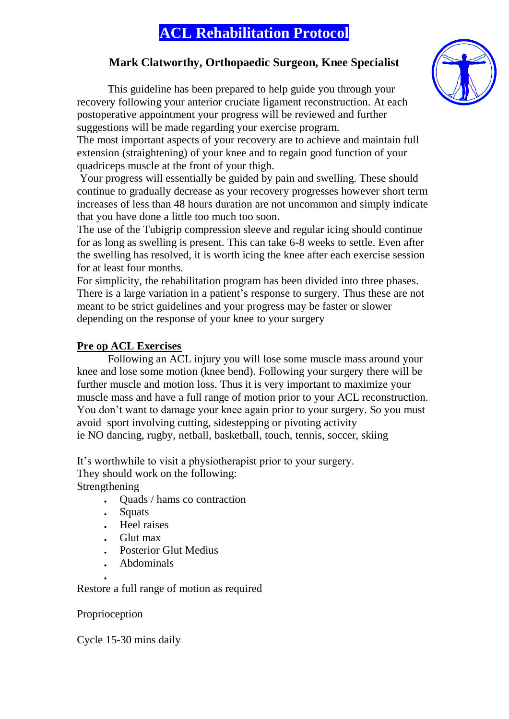# **ACL Rehabilitation Protocol**

## **Mark Clatworthy, Orthopaedic Surgeon, Knee Specialist**

This guideline has been prepared to help guide you through your recovery following your anterior cruciate ligament reconstruction. At each postoperative appointment your progress will be reviewed and further suggestions will be made regarding your exercise program.

The most important aspects of your recovery are to achieve and maintain full extension (straightening) of your knee and to regain good function of your quadriceps muscle at the front of your thigh.

Your progress will essentially be guided by pain and swelling. These should continue to gradually decrease as your recovery progresses however short term increases of less than 48 hours duration are not uncommon and simply indicate that you have done a little too much too soon.

The use of the Tubigrip compression sleeve and regular icing should continue for as long as swelling is present. This can take 6-8 weeks to settle. Even after the swelling has resolved, it is worth icing the knee after each exercise session for at least four months.

For simplicity, the rehabilitation program has been divided into three phases. There is a large variation in a patient's response to surgery. Thus these are not meant to be strict guidelines and your progress may be faster or slower depending on the response of your knee to your surgery

## **Pre op ACL Exercises**

Following an ACL injury you will lose some muscle mass around your knee and lose some motion (knee bend). Following your surgery there will be further muscle and motion loss. Thus it is very important to maximize your muscle mass and have a full range of motion prior to your ACL reconstruction. You don't want to damage your knee again prior to your surgery. So you must avoid sport involving cutting, sidestepping or pivoting activity ie NO dancing, rugby, netball, basketball, touch, tennis, soccer, skiing

It's worthwhile to visit a physiotherapist prior to your surgery. They should work on the following:

Strengthening

- Quads / hams co contraction  $\mathbf{r}$
- $\ddot{\bullet}$ **Squats**
- . Heel raises
- Glut max  $\ddot{\bullet}$
- Posterior Glut Medius
- Abdominals

Restore a full range of motion as required

Proprioception

Cycle 15-30 mins daily

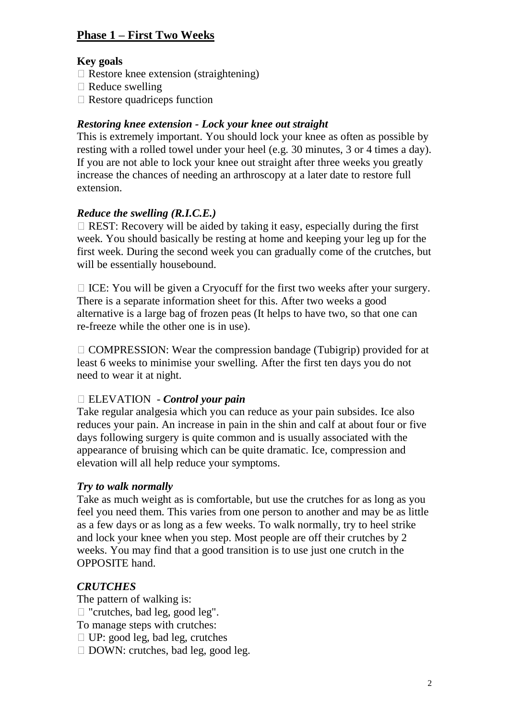## **Phase 1 – First Two Weeks**

#### **Key goals**

- $\Box$  Restore knee extension (straightening)
- $\Box$  Reduce swelling
- $\Box$  Restore quadriceps function

## *Restoring knee extension - Lock your knee out straight*

This is extremely important. You should lock your knee as often as possible by resting with a rolled towel under your heel (e.g. 30 minutes, 3 or 4 times a day). If you are not able to lock your knee out straight after three weeks you greatly increase the chances of needing an arthroscopy at a later date to restore full extension.

## *Reduce the swelling (R.I.C.E.)*

 $\Box$  REST: Recovery will be aided by taking it easy, especially during the first week. You should basically be resting at home and keeping your leg up for the first week. During the second week you can gradually come of the crutches, but will be essentially housebound.

 $\Box$  ICE: You will be given a Cryocuff for the first two weeks after your surgery. There is a separate information sheet for this. After two weeks a good alternative is a large bag of frozen peas (It helps to have two, so that one can re-freeze while the other one is in use).

 $\Box$  COMPRESSION: Wear the compression bandage (Tubigrip) provided for at least 6 weeks to minimise your swelling. After the first ten days you do not need to wear it at night.

#### ELEVATION - *Control your pain*

Take regular analgesia which you can reduce as your pain subsides. Ice also reduces your pain. An increase in pain in the shin and calf at about four or five days following surgery is quite common and is usually associated with the appearance of bruising which can be quite dramatic. Ice, compression and elevation will all help reduce your symptoms.

## *Try to walk normally*

Take as much weight as is comfortable, but use the crutches for as long as you feel you need them. This varies from one person to another and may be as little as a few days or as long as a few weeks. To walk normally, try to heel strike and lock your knee when you step. Most people are off their crutches by 2 weeks. You may find that a good transition is to use just one crutch in the OPPOSITE hand.

## *CRUTCHES*

The pattern of walking is: □ "crutches, bad leg, good leg". To manage steps with crutches: □ UP: good leg, bad leg, crutches DOWN: crutches, bad leg, good leg.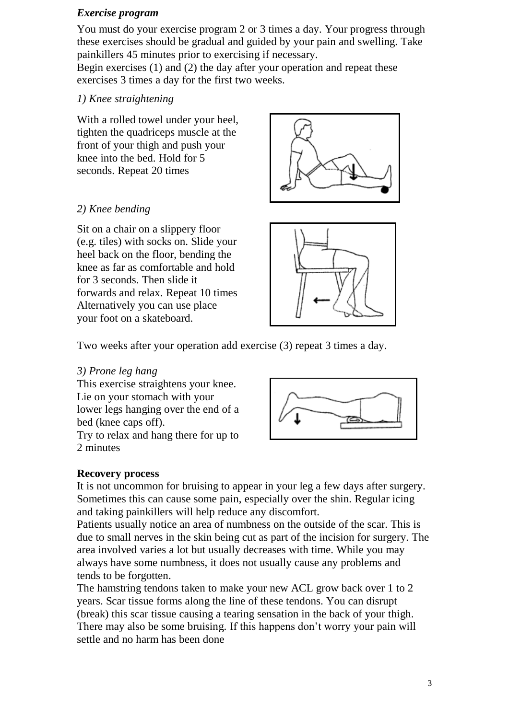#### *Exercise program*

You must do your exercise program 2 or 3 times a day. Your progress through these exercises should be gradual and guided by your pain and swelling. Take painkillers 45 minutes prior to exercising if necessary.

Begin exercises (1) and (2) the day after your operation and repeat these exercises 3 times a day for the first two weeks.

## *1) Knee straightening*

With a rolled towel under your heel, tighten the quadriceps muscle at the front of your thigh and push your knee into the bed. Hold for 5 seconds. Repeat 20 times

## *2) Knee bending*

Sit on a chair on a slippery floor (e.g. tiles) with socks on. Slide your heel back on the floor, bending the knee as far as comfortable and hold for 3 seconds. Then slide it forwards and relax. Repeat 10 times Alternatively you can use place your foot on a skateboard.





Two weeks after your operation add exercise (3) repeat 3 times a day.

## *3) Prone leg hang*

This exercise straightens your knee. Lie on your stomach with your lower legs hanging over the end of a bed (knee caps off). Try to relax and hang there for up to



## **Recovery process**

2 minutes

It is not uncommon for bruising to appear in your leg a few days after surgery. Sometimes this can cause some pain, especially over the shin. Regular icing and taking painkillers will help reduce any discomfort.

Patients usually notice an area of numbness on the outside of the scar. This is due to small nerves in the skin being cut as part of the incision for surgery. The area involved varies a lot but usually decreases with time. While you may always have some numbness, it does not usually cause any problems and tends to be forgotten.

The hamstring tendons taken to make your new ACL grow back over 1 to 2 years. Scar tissue forms along the line of these tendons. You can disrupt (break) this scar tissue causing a tearing sensation in the back of your thigh. There may also be some bruising. If this happens don't worry your pain will settle and no harm has been done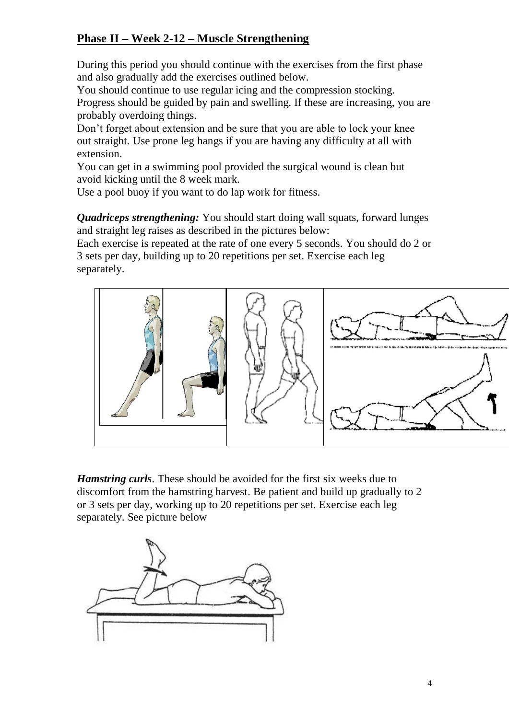# **Phase II – Week 2-12 – Muscle Strengthening**

During this period you should continue with the exercises from the first phase and also gradually add the exercises outlined below.

You should continue to use regular icing and the compression stocking. Progress should be guided by pain and swelling. If these are increasing, you are probably overdoing things.

Don't forget about extension and be sure that you are able to lock your knee out straight. Use prone leg hangs if you are having any difficulty at all with extension.

You can get in a swimming pool provided the surgical wound is clean but avoid kicking until the 8 week mark.

Use a pool buoy if you want to do lap work for fitness.

*Quadriceps strengthening:* You should start doing wall squats, forward lunges and straight leg raises as described in the pictures below:

Each exercise is repeated at the rate of one every 5 seconds. You should do 2 or 3 sets per day, building up to 20 repetitions per set. Exercise each leg separately.



*Hamstring curls*. These should be avoided for the first six weeks due to discomfort from the hamstring harvest. Be patient and build up gradually to 2 or 3 sets per day, working up to 20 repetitions per set. Exercise each leg separately. See picture below

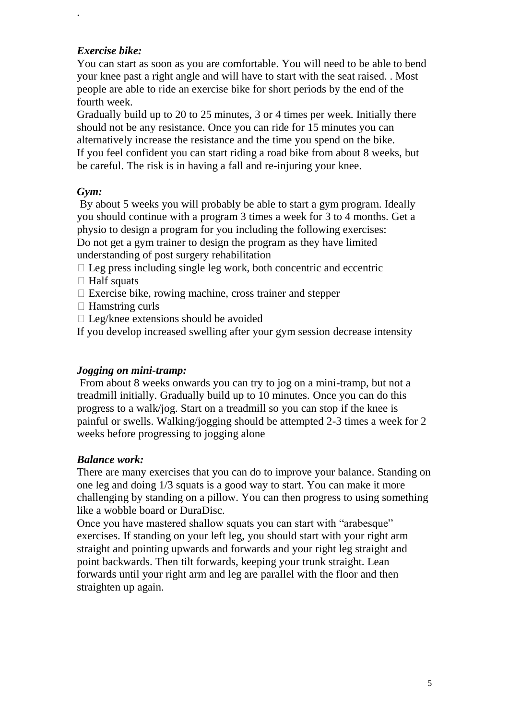## *Exercise bike:*

.

You can start as soon as you are comfortable. You will need to be able to bend your knee past a right angle and will have to start with the seat raised. . Most people are able to ride an exercise bike for short periods by the end of the fourth week.

Gradually build up to 20 to 25 minutes, 3 or 4 times per week. Initially there should not be any resistance. Once you can ride for 15 minutes you can alternatively increase the resistance and the time you spend on the bike. If you feel confident you can start riding a road bike from about 8 weeks, but be careful. The risk is in having a fall and re-injuring your knee.

## *Gym:*

By about 5 weeks you will probably be able to start a gym program. Ideally you should continue with a program 3 times a week for 3 to 4 months. Get a physio to design a program for you including the following exercises: Do not get a gym trainer to design the program as they have limited understanding of post surgery rehabilitation

 $\Box$  Leg press including single leg work, both concentric and eccentric

- $\Box$  Half squats
- $\Box$  Exercise bike, rowing machine, cross trainer and stepper
- □ Hamstring curls
- $\Box$  Leg/knee extensions should be avoided

If you develop increased swelling after your gym session decrease intensity

## *Jogging on mini-tramp:*

From about 8 weeks onwards you can try to jog on a mini-tramp, but not a treadmill initially. Gradually build up to 10 minutes. Once you can do this progress to a walk/jog. Start on a treadmill so you can stop if the knee is painful or swells. Walking/jogging should be attempted 2-3 times a week for 2 weeks before progressing to jogging alone

## *Balance work:*

There are many exercises that you can do to improve your balance. Standing on one leg and doing 1/3 squats is a good way to start. You can make it more challenging by standing on a pillow. You can then progress to using something like a wobble board or DuraDisc.

Once you have mastered shallow squats you can start with "arabesque" exercises. If standing on your left leg, you should start with your right arm straight and pointing upwards and forwards and your right leg straight and point backwards. Then tilt forwards, keeping your trunk straight. Lean forwards until your right arm and leg are parallel with the floor and then straighten up again.